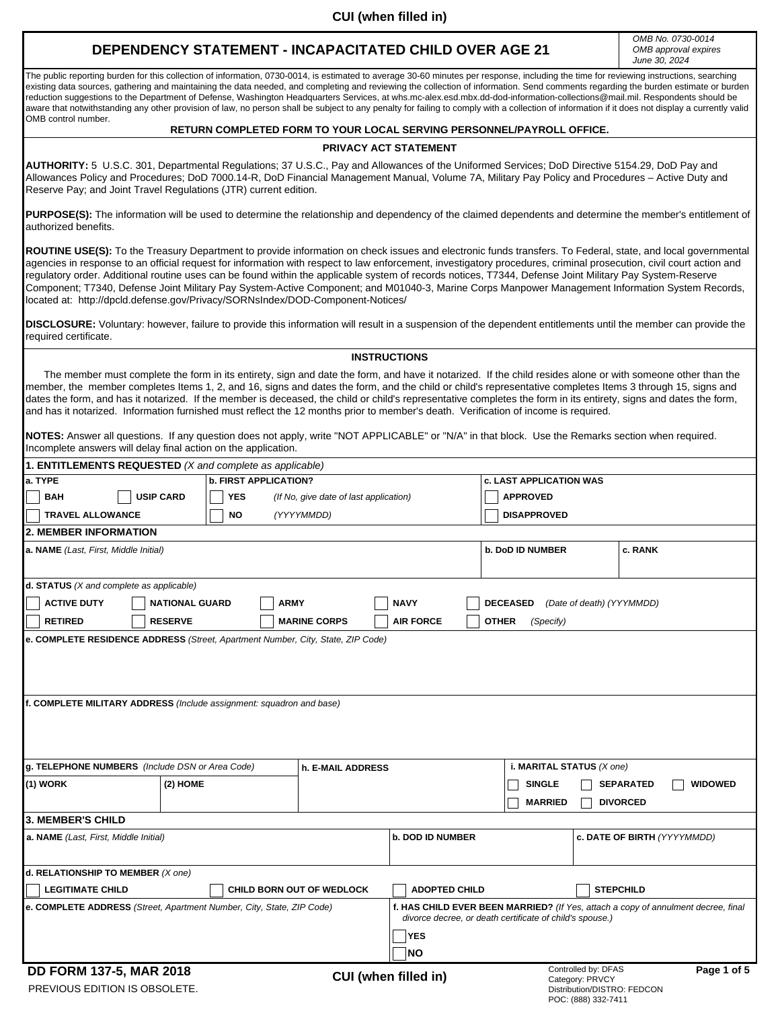### **DEPENDENCY STATEMENT - INCAPACITATED CHILD OVER AGE 21**

*OMB No. 0730-0014 OMB approval expires June 30, 2024*

The public reporting burden for this collection of information, 0730-0014, is estimated to average 30-60 minutes per response, including the time for reviewing instructions, searching existing data sources, gathering and maintaining the data needed, and completing and reviewing the collection of information. Send comments regarding the burden estimate or burden reduction suggestions to the Department of Defense, Washington Headquarters Services, at whs.mc-alex.esd.mbx.dd-dod-information-collections@mail.mil. Respondents should be aware that notwithstanding any other provision of law, no person shall be subject to any penalty for failing to comply with a collection of information if it does not display a currently valid OMB control number.

#### **RETURN COMPLETED FORM TO YOUR LOCAL SERVING PERSONNEL/PAYROLL OFFICE.**

#### **PRIVACY ACT STATEMENT**

**AUTHORITY:** 5 U.S.C. 301, Departmental Regulations; 37 U.S.C., Pay and Allowances of the Uniformed Services; DoD Directive 5154.29, DoD Pay and Allowances Policy and Procedures; DoD 7000.14-R, DoD Financial Management Manual, Volume 7A, Military Pay Policy and Procedures – Active Duty and Reserve Pay; and Joint Travel Regulations (JTR) current edition.

PURPOSE(S): The information will be used to determine the relationship and dependency of the claimed dependents and determine the member's entitlement of authorized benefits.

**ROUTINE USE(S):** To the Treasury Department to provide information on check issues and electronic funds transfers. To Federal, state, and local governmental agencies in response to an official request for information with respect to law enforcement, investigatory procedures, criminal prosecution, civil court action and regulatory order. Additional routine uses can be found within the applicable system of records notices, T7344, Defense Joint Military Pay System-Reserve Component; T7340, Defense Joint Military Pay System-Active Component; and M01040-3, Marine Corps Manpower Management Information System Records, located at: http://dpcld.defense.gov/Privacy/SORNsIndex/DOD-Component-Notices/

**DISCLOSURE:** Voluntary: however, failure to provide this information will result in a suspension of the dependent entitlements until the member can provide the required certificate.

#### **INSTRUCTIONS**

The member must complete the form in its entirety, sign and date the form, and have it notarized. If the child resides alone or with someone other than the member, the member completes Items 1, 2, and 16, signs and dates the form, and the child or child's representative completes Items 3 through 15, signs and dates the form, and has it notarized. If the member is deceased, the child or child's representative completes the form in its entirety, signs and dates the form, and has it notarized. Information furnished must reflect the 12 months prior to member's death. Verification of income is required.

**NOTES:** Answer all questions. If any question does not apply, write "NOT APPLICABLE" or "N/A" in that block. Use the Remarks section when required. Incomplete answers will delay final action on the application.

| 1. ENTITLEMENTS REQUESTED (X and complete as applicable)                        |                       |            |             |                                        |                             |                         |                           |                                                                                                                                               |                                                |                  |             |  |  |  |
|---------------------------------------------------------------------------------|-----------------------|------------|-------------|----------------------------------------|-----------------------------|-------------------------|---------------------------|-----------------------------------------------------------------------------------------------------------------------------------------------|------------------------------------------------|------------------|-------------|--|--|--|
| a. TYPE<br><b>b. FIRST APPLICATION?</b>                                         |                       |            |             |                                        |                             |                         |                           | <b>c. LAST APPLICATION WAS</b>                                                                                                                |                                                |                  |             |  |  |  |
| <b>BAH</b>                                                                      | <b>USIP CARD</b>      | <b>YES</b> |             | (If No, give date of last application) |                             |                         |                           | <b>APPROVED</b>                                                                                                                               |                                                |                  |             |  |  |  |
| <b>TRAVEL ALLOWANCE</b><br><b>NO</b><br>(YYYYMMDD)                              |                       |            |             |                                        |                             |                         |                           | <b>DISAPPROVED</b>                                                                                                                            |                                                |                  |             |  |  |  |
| <b>2. MEMBER INFORMATION</b>                                                    |                       |            |             |                                        |                             |                         |                           |                                                                                                                                               |                                                |                  |             |  |  |  |
| a. NAME (Last, First, Middle Initial)                                           |                       |            |             |                                        |                             |                         |                           | <b>b. DoD ID NUMBER</b>                                                                                                                       |                                                | c. RANK          |             |  |  |  |
|                                                                                 |                       |            |             |                                        |                             |                         |                           |                                                                                                                                               |                                                |                  |             |  |  |  |
| $d.$ STATUS ( $X$ and complete as applicable)                                   |                       |            |             |                                        |                             |                         |                           |                                                                                                                                               |                                                |                  |             |  |  |  |
| <b>ACTIVE DUTY</b>                                                              | <b>NATIONAL GUARD</b> |            | <b>ARMY</b> |                                        | <b>NAVY</b>                 |                         |                           | <b>DECEASED</b>                                                                                                                               | (Date of death) (YYYMMDD)                      |                  |             |  |  |  |
| <b>RETIRED</b>                                                                  | <b>RESERVE</b>        |            |             | <b>MARINE CORPS</b>                    |                             | <b>AIR FORCE</b>        |                           | <b>OTHER</b><br>(Specify)                                                                                                                     |                                                |                  |             |  |  |  |
| e. COMPLETE RESIDENCE ADDRESS (Street, Apartment Number, City, State, ZIP Code) |                       |            |             |                                        |                             |                         |                           |                                                                                                                                               |                                                |                  |             |  |  |  |
|                                                                                 |                       |            |             |                                        |                             |                         |                           |                                                                                                                                               |                                                |                  |             |  |  |  |
|                                                                                 |                       |            |             |                                        |                             |                         |                           |                                                                                                                                               |                                                |                  |             |  |  |  |
|                                                                                 |                       |            |             |                                        |                             |                         |                           |                                                                                                                                               |                                                |                  |             |  |  |  |
| f. COMPLETE MILITARY ADDRESS (Include assignment: squadron and base)            |                       |            |             |                                        |                             |                         |                           |                                                                                                                                               |                                                |                  |             |  |  |  |
|                                                                                 |                       |            |             |                                        |                             |                         |                           |                                                                                                                                               |                                                |                  |             |  |  |  |
|                                                                                 |                       |            |             |                                        |                             |                         |                           |                                                                                                                                               |                                                |                  |             |  |  |  |
|                                                                                 |                       |            |             |                                        |                             |                         |                           |                                                                                                                                               |                                                |                  |             |  |  |  |
| g. TELEPHONE NUMBERS (Include DSN or Area Code)                                 |                       |            |             | h. E-MAIL ADDRESS                      |                             |                         | i. MARITAL STATUS (X one) |                                                                                                                                               |                                                |                  |             |  |  |  |
| (1) WORK                                                                        | $(2)$ HOME            |            |             |                                        |                             |                         |                           | <b>SINGLE</b>                                                                                                                                 | <b>SEPARATED</b><br><b>WIDOWED</b>             |                  |             |  |  |  |
|                                                                                 |                       |            |             |                                        |                             |                         |                           | <b>MARRIED</b>                                                                                                                                |                                                | <b>DIVORCED</b>  |             |  |  |  |
| 3. MEMBER'S CHILD                                                               |                       |            |             |                                        |                             |                         |                           |                                                                                                                                               |                                                |                  |             |  |  |  |
| a. NAME (Last, First, Middle Initial)                                           |                       |            |             |                                        |                             | <b>b. DOD ID NUMBER</b> |                           |                                                                                                                                               | c. DATE OF BIRTH (YYYYMMDD)                    |                  |             |  |  |  |
|                                                                                 |                       |            |             |                                        |                             |                         |                           |                                                                                                                                               |                                                |                  |             |  |  |  |
| d. RELATIONSHIP TO MEMBER (X one)                                               |                       |            |             |                                        |                             |                         |                           |                                                                                                                                               |                                                |                  |             |  |  |  |
| <b>LEGITIMATE CHILD</b>                                                         |                       |            |             | <b>CHILD BORN OUT OF WEDLOCK</b>       |                             | <b>ADOPTED CHILD</b>    |                           |                                                                                                                                               |                                                | <b>STEPCHILD</b> |             |  |  |  |
| e. COMPLETE ADDRESS (Street, Apartment Number, City, State, ZIP Code)           |                       |            |             |                                        |                             |                         |                           | f. HAS CHILD EVER BEEN MARRIED? (If Yes, attach a copy of annulment decree, final<br>divorce decree, or death certificate of child's spouse.) |                                                |                  |             |  |  |  |
|                                                                                 |                       |            |             |                                        |                             |                         | <b>YES</b>                |                                                                                                                                               |                                                |                  |             |  |  |  |
|                                                                                 |                       |            |             |                                        |                             | <b>NO</b>               |                           |                                                                                                                                               |                                                |                  |             |  |  |  |
| DD FORM 137-5, MAR 2018                                                         |                       |            |             |                                        |                             |                         |                           |                                                                                                                                               | Controlled by: DFAS                            |                  | Page 1 of 5 |  |  |  |
| PREVIOUS EDITION IS OBSOLETE.                                                   |                       |            |             |                                        | <b>CUI</b> (when filled in) |                         |                           |                                                                                                                                               | Category: PRVCY<br>Distribution/DISTRO: FEDCON |                  |             |  |  |  |

POC: (888) 332-7411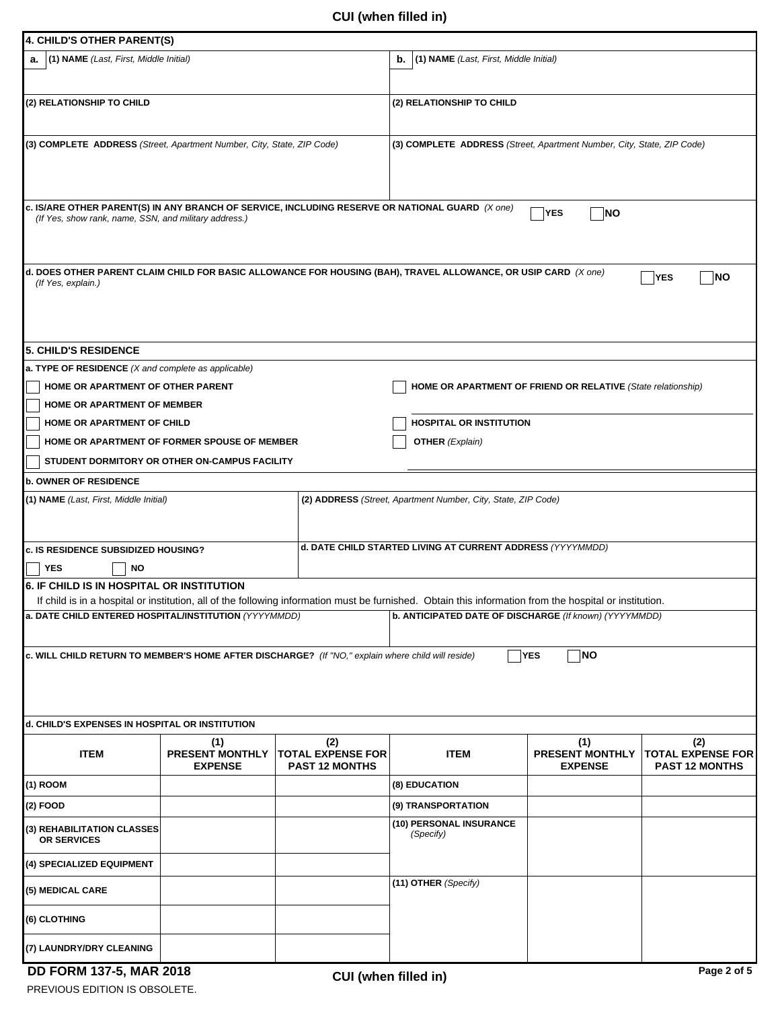| 4. CHILD'S OTHER PARENT(S)                                                                                                                               |                                                 |                                                          |                                                                                                                                                                                                                   |                                                 |                                                          |  |  |  |  |  |
|----------------------------------------------------------------------------------------------------------------------------------------------------------|-------------------------------------------------|----------------------------------------------------------|-------------------------------------------------------------------------------------------------------------------------------------------------------------------------------------------------------------------|-------------------------------------------------|----------------------------------------------------------|--|--|--|--|--|
| <b>a.</b> (1) NAME (Last, First, Middle Initial)                                                                                                         |                                                 |                                                          | (1) NAME (Last, First, Middle Initial)<br>b.                                                                                                                                                                      |                                                 |                                                          |  |  |  |  |  |
| (2) RELATIONSHIP TO CHILD                                                                                                                                |                                                 |                                                          | (2) RELATIONSHIP TO CHILD                                                                                                                                                                                         |                                                 |                                                          |  |  |  |  |  |
| (3) COMPLETE ADDRESS (Street, Apartment Number, City, State, ZIP Code)                                                                                   |                                                 |                                                          | (3) COMPLETE ADDRESS (Street, Apartment Number, City, State, ZIP Code)                                                                                                                                            |                                                 |                                                          |  |  |  |  |  |
| c. IS/ARE OTHER PARENT(S) IN ANY BRANCH OF SERVICE, INCLUDING RESERVE OR NATIONAL GUARD (X one)<br>(If Yes, show rank, name, SSN, and military address.) |                                                 |                                                          |                                                                                                                                                                                                                   | YES<br>$\Box$ NO                                |                                                          |  |  |  |  |  |
| (If Yes, explain.)                                                                                                                                       |                                                 |                                                          | d. DOES OTHER PARENT CLAIM CHILD FOR BASIC ALLOWANCE FOR HOUSING (BAH), TRAVEL ALLOWANCE, OR USIP CARD $(X\, one)$                                                                                                |                                                 | YES<br>NΟ                                                |  |  |  |  |  |
| <b>5. CHILD'S RESIDENCE</b>                                                                                                                              |                                                 |                                                          |                                                                                                                                                                                                                   |                                                 |                                                          |  |  |  |  |  |
| a. TYPE OF RESIDENCE (X and complete as applicable)                                                                                                      |                                                 |                                                          |                                                                                                                                                                                                                   |                                                 |                                                          |  |  |  |  |  |
| HOME OR APARTMENT OF OTHER PARENT                                                                                                                        |                                                 |                                                          | <b>HOME OR APARTMENT OF FRIEND OR RELATIVE (State relationship)</b>                                                                                                                                               |                                                 |                                                          |  |  |  |  |  |
| HOME OR APARTMENT OF MEMBER                                                                                                                              |                                                 |                                                          |                                                                                                                                                                                                                   |                                                 |                                                          |  |  |  |  |  |
| HOME OR APARTMENT OF CHILD                                                                                                                               |                                                 |                                                          | <b>HOSPITAL OR INSTITUTION</b>                                                                                                                                                                                    |                                                 |                                                          |  |  |  |  |  |
| HOME OR APARTMENT OF FORMER SPOUSE OF MEMBER                                                                                                             |                                                 |                                                          | <b>OTHER</b> (Explain)                                                                                                                                                                                            |                                                 |                                                          |  |  |  |  |  |
| STUDENT DORMITORY OR OTHER ON-CAMPUS FACILITY                                                                                                            |                                                 |                                                          |                                                                                                                                                                                                                   |                                                 |                                                          |  |  |  |  |  |
| <b>b. OWNER OF RESIDENCE</b>                                                                                                                             |                                                 |                                                          |                                                                                                                                                                                                                   |                                                 |                                                          |  |  |  |  |  |
| (1) NAME (Last, First, Middle Initial)                                                                                                                   |                                                 |                                                          | (2) ADDRESS (Street, Apartment Number, City, State, ZIP Code)                                                                                                                                                     |                                                 |                                                          |  |  |  |  |  |
| c. IS RESIDENCE SUBSIDIZED HOUSING?<br>YES<br>ΝO                                                                                                         |                                                 |                                                          | d. DATE CHILD STARTED LIVING AT CURRENT ADDRESS (YYYYMMDD)                                                                                                                                                        |                                                 |                                                          |  |  |  |  |  |
| <b>6. IF CHILD IS IN HOSPITAL OR INSTITUTION</b>                                                                                                         |                                                 |                                                          |                                                                                                                                                                                                                   |                                                 |                                                          |  |  |  |  |  |
| a. DATE CHILD ENTERED HOSPITAL/INSTITUTION (YYYYMMDD)                                                                                                    |                                                 |                                                          | If child is in a hospital or institution, all of the following information must be furnished. Obtain this information from the hospital or institution.<br>b. ANTICIPATED DATE OF DISCHARGE (If known) (YYYYMMDD) |                                                 |                                                          |  |  |  |  |  |
| <b>NO</b><br>c. WILL CHILD RETURN TO MEMBER'S HOME AFTER DISCHARGE? (If "NO," explain where child will reside)<br>YES                                    |                                                 |                                                          |                                                                                                                                                                                                                   |                                                 |                                                          |  |  |  |  |  |
| d. CHILD'S EXPENSES IN HOSPITAL OR INSTITUTION                                                                                                           |                                                 |                                                          |                                                                                                                                                                                                                   |                                                 |                                                          |  |  |  |  |  |
| <b>ITEM</b>                                                                                                                                              | (1)<br><b>PRESENT MONTHLY</b><br><b>EXPENSE</b> | (2)<br><b>TOTAL EXPENSE FOR</b><br><b>PAST 12 MONTHS</b> | <b>ITEM</b>                                                                                                                                                                                                       | (1)<br><b>PRESENT MONTHLY</b><br><b>EXPENSE</b> | (2)<br><b>TOTAL EXPENSE FOR</b><br><b>PAST 12 MONTHS</b> |  |  |  |  |  |
| $(1)$ ROOM                                                                                                                                               |                                                 |                                                          | (8) EDUCATION                                                                                                                                                                                                     |                                                 |                                                          |  |  |  |  |  |
| (2) FOOD                                                                                                                                                 |                                                 |                                                          | (9) TRANSPORTATION                                                                                                                                                                                                |                                                 |                                                          |  |  |  |  |  |
| (3) REHABILITATION CLASSES<br><b>OR SERVICES</b>                                                                                                         |                                                 |                                                          | (10) PERSONAL INSURANCE<br>(Specify)                                                                                                                                                                              |                                                 |                                                          |  |  |  |  |  |
| (4) SPECIALIZED EQUIPMENT                                                                                                                                |                                                 |                                                          |                                                                                                                                                                                                                   |                                                 |                                                          |  |  |  |  |  |
| (5) MEDICAL CARE                                                                                                                                         |                                                 |                                                          | (11) OTHER (Specify)                                                                                                                                                                                              |                                                 |                                                          |  |  |  |  |  |
| (6) CLOTHING                                                                                                                                             |                                                 |                                                          |                                                                                                                                                                                                                   |                                                 |                                                          |  |  |  |  |  |
| (7) LAUNDRY/DRY CLEANING                                                                                                                                 |                                                 |                                                          |                                                                                                                                                                                                                   |                                                 |                                                          |  |  |  |  |  |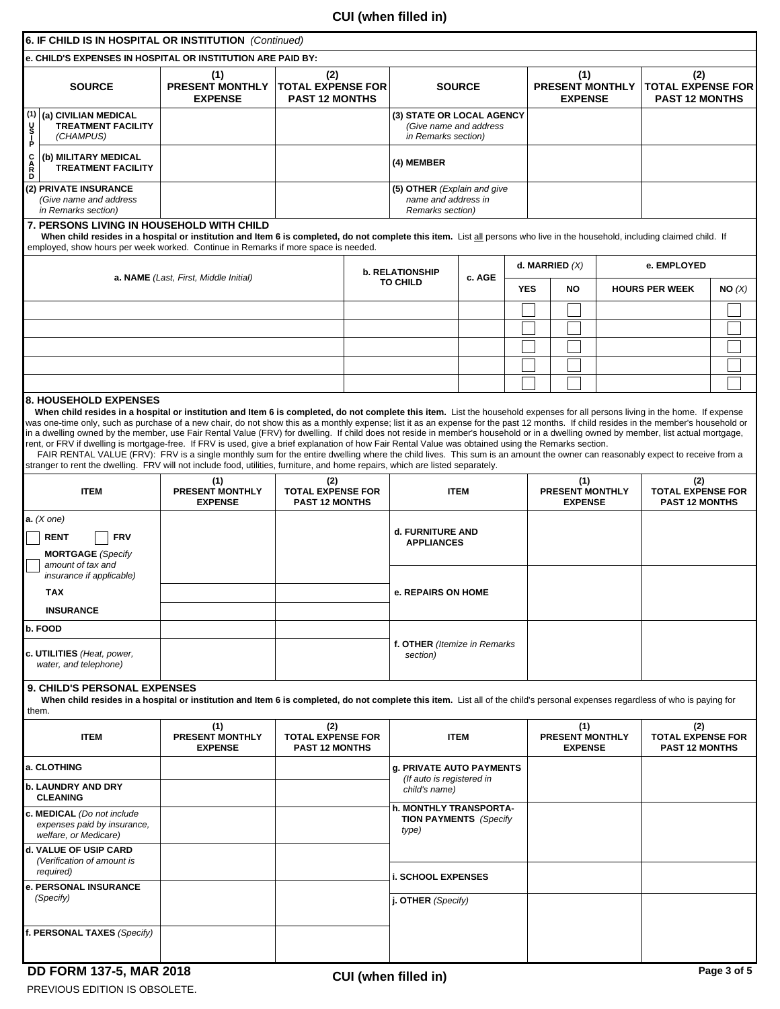## **CUI (when filled in)**

|                                                                                                                                                                                                                               | 6. IF CHILD IS IN HOSPITAL OR INSTITUTION (Continued)                                                                                                                                                                                                                                                                                                                                                                                                                                                                                                                                                                                                                                                                                                                                                                                                                                                                                                                                                                                    |                                                                        |                                                          |               |                                                                            |  |                                                 |                  |                                                 |                |                       |                        |                                                          |                                                          |  |
|-------------------------------------------------------------------------------------------------------------------------------------------------------------------------------------------------------------------------------|------------------------------------------------------------------------------------------------------------------------------------------------------------------------------------------------------------------------------------------------------------------------------------------------------------------------------------------------------------------------------------------------------------------------------------------------------------------------------------------------------------------------------------------------------------------------------------------------------------------------------------------------------------------------------------------------------------------------------------------------------------------------------------------------------------------------------------------------------------------------------------------------------------------------------------------------------------------------------------------------------------------------------------------|------------------------------------------------------------------------|----------------------------------------------------------|---------------|----------------------------------------------------------------------------|--|-------------------------------------------------|------------------|-------------------------------------------------|----------------|-----------------------|------------------------|----------------------------------------------------------|----------------------------------------------------------|--|
|                                                                                                                                                                                                                               | e. CHILD'S EXPENSES IN HOSPITAL OR INSTITUTION ARE PAID BY:                                                                                                                                                                                                                                                                                                                                                                                                                                                                                                                                                                                                                                                                                                                                                                                                                                                                                                                                                                              |                                                                        |                                                          |               |                                                                            |  |                                                 |                  |                                                 |                |                       |                        |                                                          |                                                          |  |
| (2)<br>(1)<br><b>PRESENT MONTHLY</b><br><b>TOTAL EXPENSE FOR</b><br><b>SOURCE</b><br><b>PAST 12 MONTHS</b><br><b>EXPENSE</b>                                                                                                  |                                                                                                                                                                                                                                                                                                                                                                                                                                                                                                                                                                                                                                                                                                                                                                                                                                                                                                                                                                                                                                          |                                                                        |                                                          | <b>SOURCE</b> |                                                                            |  | (1)<br><b>PRESENT MONTHLY</b><br><b>EXPENSE</b> |                  |                                                 |                |                       |                        | (2)<br><b>TOTAL EXPENSE FOR</b><br><b>PAST 12 MONTHS</b> |                                                          |  |
| (1)<br>y<br>P<br>P                                                                                                                                                                                                            | (a) CIVILIAN MEDICAL<br><b>TREATMENT FACILITY</b><br>(CHAMPUS)                                                                                                                                                                                                                                                                                                                                                                                                                                                                                                                                                                                                                                                                                                                                                                                                                                                                                                                                                                           |                                                                        |                                                          |               | (3) STATE OR LOCAL AGENCY<br>(Give name and address<br>in Remarks section) |  |                                                 |                  |                                                 |                |                       |                        |                                                          |                                                          |  |
| <b>CARD</b>                                                                                                                                                                                                                   | (b) MILITARY MEDICAL<br><b>TREATMENT FACILITY</b>                                                                                                                                                                                                                                                                                                                                                                                                                                                                                                                                                                                                                                                                                                                                                                                                                                                                                                                                                                                        |                                                                        |                                                          |               | (4) MEMBER                                                                 |  |                                                 |                  |                                                 |                |                       |                        |                                                          |                                                          |  |
|                                                                                                                                                                                                                               | (2) PRIVATE INSURANCE<br>(Give name and address<br>in Remarks section)                                                                                                                                                                                                                                                                                                                                                                                                                                                                                                                                                                                                                                                                                                                                                                                                                                                                                                                                                                   | (5) OTHER (Explain and give<br>name and address in<br>Remarks section) |                                                          |               |                                                                            |  |                                                 |                  |                                                 |                |                       |                        |                                                          |                                                          |  |
|                                                                                                                                                                                                                               | <b>7. PERSONS LIVING IN HOUSEHOLD WITH CHILD</b><br>When child resides in a hospital or institution and Item 6 is completed, do not complete this item. List all persons who live in the household, including claimed child. If<br>employed, show hours per week worked. Continue in Remarks if more space is needed.                                                                                                                                                                                                                                                                                                                                                                                                                                                                                                                                                                                                                                                                                                                    |                                                                        |                                                          |               |                                                                            |  |                                                 |                  |                                                 |                |                       |                        |                                                          |                                                          |  |
| a. NAME (Last, First, Middle Initial)                                                                                                                                                                                         |                                                                                                                                                                                                                                                                                                                                                                                                                                                                                                                                                                                                                                                                                                                                                                                                                                                                                                                                                                                                                                          |                                                                        |                                                          |               | <b>b. RELATIONSHIP</b><br>c. AGE<br><b>TO CHILD</b>                        |  |                                                 | d. MARRIED $(X)$ |                                                 |                |                       |                        |                                                          | e. EMPLOYED                                              |  |
|                                                                                                                                                                                                                               |                                                                                                                                                                                                                                                                                                                                                                                                                                                                                                                                                                                                                                                                                                                                                                                                                                                                                                                                                                                                                                          |                                                                        |                                                          |               |                                                                            |  | <b>YES</b>                                      |                  | <b>NO</b>                                       |                | <b>HOURS PER WEEK</b> |                        |                                                          | NO(X)                                                    |  |
|                                                                                                                                                                                                                               |                                                                                                                                                                                                                                                                                                                                                                                                                                                                                                                                                                                                                                                                                                                                                                                                                                                                                                                                                                                                                                          |                                                                        |                                                          |               |                                                                            |  |                                                 |                  |                                                 |                |                       |                        |                                                          |                                                          |  |
|                                                                                                                                                                                                                               |                                                                                                                                                                                                                                                                                                                                                                                                                                                                                                                                                                                                                                                                                                                                                                                                                                                                                                                                                                                                                                          |                                                                        |                                                          |               |                                                                            |  |                                                 |                  |                                                 |                |                       |                        |                                                          |                                                          |  |
|                                                                                                                                                                                                                               |                                                                                                                                                                                                                                                                                                                                                                                                                                                                                                                                                                                                                                                                                                                                                                                                                                                                                                                                                                                                                                          |                                                                        |                                                          |               |                                                                            |  |                                                 |                  |                                                 |                |                       |                        |                                                          |                                                          |  |
|                                                                                                                                                                                                                               |                                                                                                                                                                                                                                                                                                                                                                                                                                                                                                                                                                                                                                                                                                                                                                                                                                                                                                                                                                                                                                          |                                                                        |                                                          |               |                                                                            |  |                                                 |                  |                                                 |                |                       |                        |                                                          |                                                          |  |
|                                                                                                                                                                                                                               |                                                                                                                                                                                                                                                                                                                                                                                                                                                                                                                                                                                                                                                                                                                                                                                                                                                                                                                                                                                                                                          |                                                                        |                                                          |               |                                                                            |  |                                                 |                  |                                                 |                |                       |                        |                                                          |                                                          |  |
|                                                                                                                                                                                                                               | When child resides in a hospital or institution and Item 6 is completed, do not complete this item. List the household expenses for all persons living in the home. If expense<br>was one-time only, such as purchase of a new chair, do not show this as a monthly expense; list it as an expense for the past 12 months. If child resides in the member's household or<br>in a dwelling owned by the member, use Fair Rental Value (FRV) for dwelling. If child does not reside in member's household or in a dwelling owned by member, list actual mortgage,<br>rent, or FRV if dwelling is mortgage-free. If FRV is used, give a brief explanation of how Fair Rental Value was obtained using the Remarks section.<br>FAIR RENTAL VALUE (FRV): FRV is a single monthly sum for the entire dwelling where the child lives. This sum is an amount the owner can reasonably expect to receive from a<br>stranger to rent the dwelling. FRV will not include food, utilities, furniture, and home repairs, which are listed separately. |                                                                        |                                                          |               |                                                                            |  |                                                 |                  |                                                 |                |                       |                        |                                                          |                                                          |  |
|                                                                                                                                                                                                                               | <b>ITEM</b>                                                                                                                                                                                                                                                                                                                                                                                                                                                                                                                                                                                                                                                                                                                                                                                                                                                                                                                                                                                                                              | (1)<br><b>PRESENT MONTHLY</b><br><b>EXPENSE</b>                        | (2)<br><b>TOTAL EXPENSE FOR</b><br><b>PAST 12 MONTHS</b> |               | <b>ITEM</b>                                                                |  |                                                 |                  | (1)<br><b>PRESENT MONTHLY</b><br><b>EXPENSE</b> |                |                       |                        | (2)<br><b>TOTAL EXPENSE FOR</b><br><b>PAST 12 MONTHS</b> |                                                          |  |
|                                                                                                                                                                                                                               | a. (X one)                                                                                                                                                                                                                                                                                                                                                                                                                                                                                                                                                                                                                                                                                                                                                                                                                                                                                                                                                                                                                               |                                                                        |                                                          |               |                                                                            |  |                                                 |                  |                                                 |                |                       |                        |                                                          |                                                          |  |
|                                                                                                                                                                                                                               | <b>RENT</b><br><b>FRV</b><br><b>MORTGAGE</b> (Specify                                                                                                                                                                                                                                                                                                                                                                                                                                                                                                                                                                                                                                                                                                                                                                                                                                                                                                                                                                                    |                                                                        |                                                          |               | d. FURNITURE AND<br><b>APPLIANCES</b>                                      |  |                                                 |                  |                                                 |                |                       |                        |                                                          |                                                          |  |
|                                                                                                                                                                                                                               | amount of tax and<br>insurance if applicable)                                                                                                                                                                                                                                                                                                                                                                                                                                                                                                                                                                                                                                                                                                                                                                                                                                                                                                                                                                                            |                                                                        |                                                          |               |                                                                            |  |                                                 |                  |                                                 |                |                       |                        |                                                          |                                                          |  |
|                                                                                                                                                                                                                               | <b>TAX</b>                                                                                                                                                                                                                                                                                                                                                                                                                                                                                                                                                                                                                                                                                                                                                                                                                                                                                                                                                                                                                               |                                                                        |                                                          |               | e. REPAIRS ON HOME                                                         |  |                                                 |                  |                                                 |                |                       |                        |                                                          |                                                          |  |
|                                                                                                                                                                                                                               | <b>INSURANCE</b>                                                                                                                                                                                                                                                                                                                                                                                                                                                                                                                                                                                                                                                                                                                                                                                                                                                                                                                                                                                                                         |                                                                        |                                                          |               |                                                                            |  |                                                 |                  |                                                 |                |                       |                        |                                                          |                                                          |  |
|                                                                                                                                                                                                                               | b. FOOD                                                                                                                                                                                                                                                                                                                                                                                                                                                                                                                                                                                                                                                                                                                                                                                                                                                                                                                                                                                                                                  |                                                                        |                                                          |               | f. OTHER (Itemize in Remarks)                                              |  |                                                 |                  |                                                 |                |                       |                        |                                                          |                                                          |  |
|                                                                                                                                                                                                                               | c. UTILITIES (Heat, power,<br>water, and telephone)                                                                                                                                                                                                                                                                                                                                                                                                                                                                                                                                                                                                                                                                                                                                                                                                                                                                                                                                                                                      |                                                                        |                                                          |               | section)                                                                   |  |                                                 |                  |                                                 |                |                       |                        |                                                          |                                                          |  |
| <b>9. CHILD'S PERSONAL EXPENSES</b><br>When child resides in a hospital or institution and Item 6 is completed, do not complete this item. List all of the child's personal expenses regardless of who is paying for<br>them. |                                                                                                                                                                                                                                                                                                                                                                                                                                                                                                                                                                                                                                                                                                                                                                                                                                                                                                                                                                                                                                          |                                                                        |                                                          |               |                                                                            |  |                                                 |                  |                                                 |                |                       |                        |                                                          |                                                          |  |
|                                                                                                                                                                                                                               | <b>ITEM</b>                                                                                                                                                                                                                                                                                                                                                                                                                                                                                                                                                                                                                                                                                                                                                                                                                                                                                                                                                                                                                              | (1)<br><b>PRESENT MONTHLY</b><br><b>EXPENSE</b>                        | (2)<br><b>TOTAL EXPENSE FOR</b><br><b>PAST 12 MONTHS</b> |               | <b>ITEM</b>                                                                |  |                                                 |                  |                                                 | <b>EXPENSE</b> | (1)                   | <b>PRESENT MONTHLY</b> |                                                          | (2)<br><b>TOTAL EXPENSE FOR</b><br><b>PAST 12 MONTHS</b> |  |
|                                                                                                                                                                                                                               | a. CLOTHING                                                                                                                                                                                                                                                                                                                                                                                                                                                                                                                                                                                                                                                                                                                                                                                                                                                                                                                                                                                                                              |                                                                        |                                                          |               | <b>g. PRIVATE AUTO PAYMENTS</b>                                            |  |                                                 |                  |                                                 |                |                       |                        |                                                          |                                                          |  |
|                                                                                                                                                                                                                               | <b>b. LAUNDRY AND DRY</b><br><b>CLEANING</b>                                                                                                                                                                                                                                                                                                                                                                                                                                                                                                                                                                                                                                                                                                                                                                                                                                                                                                                                                                                             |                                                                        |                                                          |               | (If auto is registered in<br>child's name)                                 |  |                                                 |                  |                                                 |                |                       |                        |                                                          |                                                          |  |
|                                                                                                                                                                                                                               | c. MEDICAL (Do not include<br>expenses paid by insurance,<br>welfare, or Medicare)                                                                                                                                                                                                                                                                                                                                                                                                                                                                                                                                                                                                                                                                                                                                                                                                                                                                                                                                                       |                                                                        |                                                          |               | h. MONTHLY TRANSPORTA-<br><b>TION PAYMENTS</b> (Specify<br>type)           |  |                                                 |                  |                                                 |                |                       |                        |                                                          |                                                          |  |
|                                                                                                                                                                                                                               | d. VALUE OF USIP CARD<br>(Verification of amount is<br>required)                                                                                                                                                                                                                                                                                                                                                                                                                                                                                                                                                                                                                                                                                                                                                                                                                                                                                                                                                                         |                                                                        |                                                          |               | <b>i. SCHOOL EXPENSES</b>                                                  |  |                                                 |                  |                                                 |                |                       |                        |                                                          |                                                          |  |
|                                                                                                                                                                                                                               | e. PERSONAL INSURANCE<br>(Specify)                                                                                                                                                                                                                                                                                                                                                                                                                                                                                                                                                                                                                                                                                                                                                                                                                                                                                                                                                                                                       |                                                                        |                                                          |               | j. OTHER (Specify)                                                         |  |                                                 |                  |                                                 |                |                       |                        |                                                          |                                                          |  |
|                                                                                                                                                                                                                               | f. PERSONAL TAXES (Specify)                                                                                                                                                                                                                                                                                                                                                                                                                                                                                                                                                                                                                                                                                                                                                                                                                                                                                                                                                                                                              |                                                                        |                                                          |               |                                                                            |  |                                                 |                  |                                                 |                |                       |                        |                                                          |                                                          |  |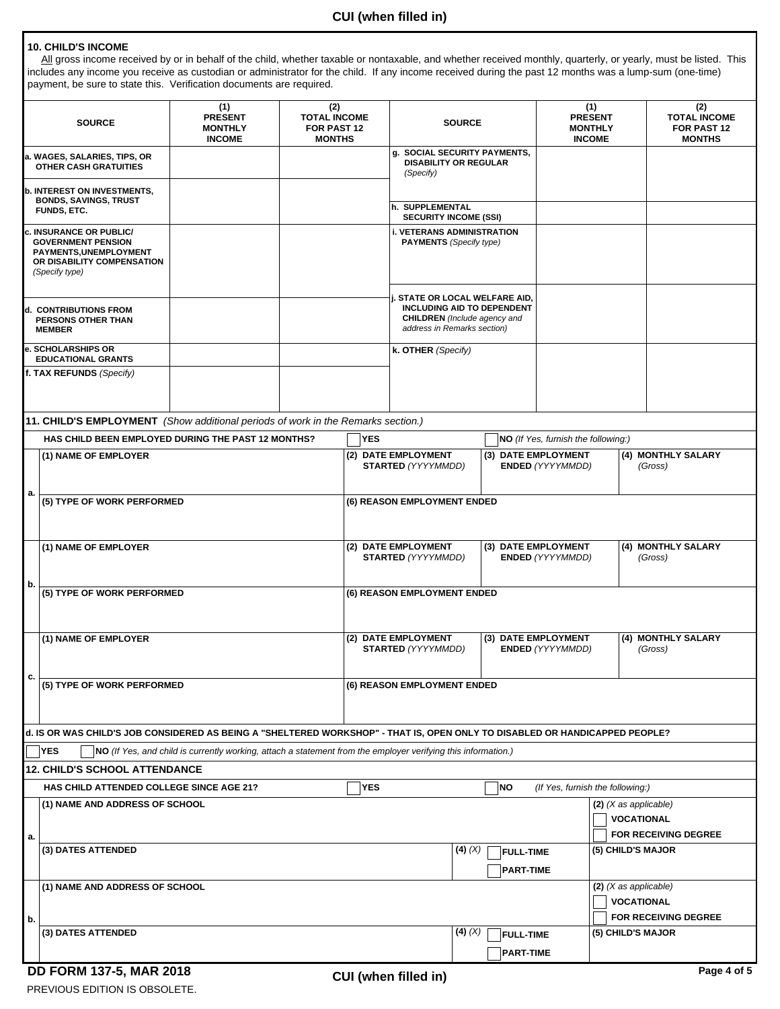#### **10. CHILD'S INCOME**

All gross income received by or in behalf of the child, whether taxable or nontaxable, and whether received monthly, quarterly, or yearly, must be listed. This includes any income you receive as custodian or administrator for the child. If any income received during the past 12 months was a lump-sum (one-time) payment, be sure to state this. Verification documents are required.

| <b>SOURCE</b>                                                                                                                      |                                                                                                                             | (1)<br><b>PRESENT</b><br><b>MONTHLY</b><br><b>INCOME</b>                                                      |                                                 | (2)<br><b>TOTAL INCOME</b><br>FOR PAST 12<br><b>MONTHS</b>                                                                                       |                                                                                                    | <b>SOURCE</b> |                                      | (1)<br><b>PRESENT</b><br><b>MONTHLY</b><br><b>INCOME</b> |                                              | (2)<br><b>TOTAL INCOME</b><br>FOR PAST 12<br><b>MONTHS</b> |  |
|------------------------------------------------------------------------------------------------------------------------------------|-----------------------------------------------------------------------------------------------------------------------------|---------------------------------------------------------------------------------------------------------------|-------------------------------------------------|--------------------------------------------------------------------------------------------------------------------------------------------------|----------------------------------------------------------------------------------------------------|---------------|--------------------------------------|----------------------------------------------------------|----------------------------------------------|------------------------------------------------------------|--|
| a. WAGES, SALARIES, TIPS, OR<br><b>OTHER CASH GRATUITIES</b>                                                                       |                                                                                                                             |                                                                                                               |                                                 |                                                                                                                                                  | g. SOCIAL SECURITY PAYMENTS,<br><b>DISABILITY OR REGULAR</b><br>(Specify)                          |               |                                      |                                                          |                                              |                                                            |  |
| <b>b. INTEREST ON INVESTMENTS,</b><br><b>BONDS, SAVINGS, TRUST</b><br>FUNDS, ETC.                                                  |                                                                                                                             |                                                                                                               | h. SUPPLEMENTAL<br><b>SECURITY INCOME (SSI)</b> |                                                                                                                                                  |                                                                                                    |               |                                      |                                                          |                                              |                                                            |  |
| <b>INSURANCE OR PUBLIC/</b><br><b>GOVERNMENT PENSION</b><br>PAYMENTS, UNEMPLOYMENT<br>OR DISABILITY COMPENSATION<br>(Specify type) |                                                                                                                             |                                                                                                               |                                                 | <b>i. VETERANS ADMINISTRATION</b><br><b>PAYMENTS</b> (Specify type)                                                                              |                                                                                                    |               |                                      |                                                          |                                              |                                                            |  |
| ld.  CONTRIBUTIONS FROM<br>PERSONS OTHER THAN<br><b>MEMBER</b>                                                                     |                                                                                                                             |                                                                                                               |                                                 | <b>i. STATE OR LOCAL WELFARE AID,</b><br><b>INCLUDING AID TO DEPENDENT</b><br><b>CHILDREN</b> (Include agency and<br>address in Remarks section) |                                                                                                    |               |                                      |                                                          |                                              |                                                            |  |
|                                                                                                                                    | e. SCHOLARSHIPS OR<br><b>EDUCATIONAL GRANTS</b>                                                                             |                                                                                                               |                                                 |                                                                                                                                                  | k. OTHER (Specify)                                                                                 |               |                                      |                                                          |                                              |                                                            |  |
|                                                                                                                                    | f. TAX REFUNDS (Specify)                                                                                                    |                                                                                                               |                                                 |                                                                                                                                                  |                                                                                                    |               |                                      |                                                          |                                              |                                                            |  |
|                                                                                                                                    | 11. CHILD'S EMPLOYMENT (Show additional periods of work in the Remarks section.)                                            |                                                                                                               |                                                 |                                                                                                                                                  |                                                                                                    |               |                                      |                                                          |                                              |                                                            |  |
|                                                                                                                                    | HAS CHILD BEEN EMPLOYED DURING THE PAST 12 MONTHS?                                                                          |                                                                                                               |                                                 | <b>YES</b>                                                                                                                                       |                                                                                                    |               |                                      | NO (If Yes, furnish the following:)                      |                                              |                                                            |  |
|                                                                                                                                    | (1) NAME OF EMPLOYER                                                                                                        |                                                                                                               |                                                 |                                                                                                                                                  | (2) DATE EMPLOYMENT<br>(3) DATE EMPLOYMENT<br><b>STARTED (YYYYMMDD)</b><br><b>ENDED (YYYYMMDD)</b> |               |                                      |                                                          |                                              | (4) MONTHLY SALARY<br>(Gross)                              |  |
|                                                                                                                                    | a.<br>(5) TYPE OF WORK PERFORMED<br>(6) REASON EMPLOYMENT ENDED                                                             |                                                                                                               |                                                 |                                                                                                                                                  |                                                                                                    |               |                                      |                                                          |                                              |                                                            |  |
| (1) NAME OF EMPLOYER                                                                                                               |                                                                                                                             |                                                                                                               |                                                 | (2) DATE EMPLOYMENT<br>(3) DATE EMPLOYMENT<br><b>STARTED (YYYYMMDD)</b><br><b>ENDED (YYYYMMDD)</b>                                               |                                                                                                    |               |                                      |                                                          |                                              | (4) MONTHLY SALARY<br>(Gross)                              |  |
| b.                                                                                                                                 | (5) TYPE OF WORK PERFORMED                                                                                                  |                                                                                                               |                                                 |                                                                                                                                                  | (6) REASON EMPLOYMENT ENDED                                                                        |               |                                      |                                                          |                                              |                                                            |  |
| (1) NAME OF EMPLOYER                                                                                                               |                                                                                                                             |                                                                                                               |                                                 | (2) DATE EMPLOYMENT<br>(3) DATE EMPLOYMENT<br><b>STARTED (YYYYMMDD)</b><br><b>ENDED (YYYYMMDD)</b>                                               |                                                                                                    |               |                                      |                                                          | (4) MONTHLY SALARY<br>(Gross)                |                                                            |  |
| c.                                                                                                                                 | (5) TYPE OF WORK PERFORMED                                                                                                  |                                                                                                               | (6) REASON EMPLOYMENT ENDED                     |                                                                                                                                                  |                                                                                                    |               |                                      |                                                          |                                              |                                                            |  |
|                                                                                                                                    | d. IS OR WAS CHILD'S JOB CONSIDERED AS BEING A "SHELTERED WORKSHOP" - THAT IS, OPEN ONLY TO DISABLED OR HANDICAPPED PEOPLE? |                                                                                                               |                                                 |                                                                                                                                                  |                                                                                                    |               |                                      |                                                          |                                              |                                                            |  |
|                                                                                                                                    | <b>YES</b>                                                                                                                  | NO (If Yes, and child is currently working, attach a statement from the employer verifying this information.) |                                                 |                                                                                                                                                  |                                                                                                    |               |                                      |                                                          |                                              |                                                            |  |
|                                                                                                                                    | <b>12. CHILD'S SCHOOL ATTENDANCE</b>                                                                                        |                                                                                                               |                                                 |                                                                                                                                                  |                                                                                                    |               |                                      |                                                          |                                              |                                                            |  |
| HAS CHILD ATTENDED COLLEGE SINCE AGE 21?                                                                                           |                                                                                                                             |                                                                                                               |                                                 | <b>YES</b>                                                                                                                                       | NO                                                                                                 |               |                                      |                                                          | (If Yes, furnish the following:)             |                                                            |  |
|                                                                                                                                    | (1) NAME AND ADDRESS OF SCHOOL                                                                                              |                                                                                                               |                                                 |                                                                                                                                                  |                                                                                                    |               |                                      |                                                          | $(2)$ (X as applicable)<br><b>VOCATIONAL</b> | FOR RECEIVING DEGREE                                       |  |
| a.<br>(3) DATES ATTENDED                                                                                                           |                                                                                                                             |                                                                                                               |                                                 |                                                                                                                                                  |                                                                                                    | $(4)$ $(X)$   | <b>FULL-TIME</b><br><b>PART-TIME</b> |                                                          | (5) CHILD'S MAJOR                            |                                                            |  |
| (1) NAME AND ADDRESS OF SCHOOL                                                                                                     |                                                                                                                             |                                                                                                               |                                                 |                                                                                                                                                  |                                                                                                    |               |                                      |                                                          | $(2)$ (X as applicable)<br><b>VOCATIONAL</b> |                                                            |  |
| b.                                                                                                                                 |                                                                                                                             |                                                                                                               |                                                 |                                                                                                                                                  |                                                                                                    |               |                                      |                                                          |                                              | FOR RECEIVING DEGREE                                       |  |
|                                                                                                                                    | (3) DATES ATTENDED                                                                                                          |                                                                                                               |                                                 |                                                                                                                                                  |                                                                                                    | $(4)$ $(X)$   | <b>FULL-TIME</b><br><b>PART-TIME</b> |                                                          | (5) CHILD'S MAJOR                            |                                                            |  |
|                                                                                                                                    | DD FORM 137-5, MAR 2018                                                                                                     |                                                                                                               |                                                 |                                                                                                                                                  | CIII (whon fillod in)                                                                              |               |                                      |                                                          |                                              | Page 4 of 5                                                |  |